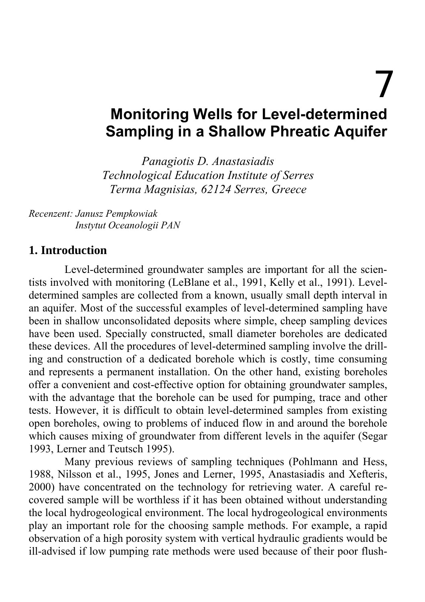7

# **Monitoring Wells for Level-determined Sampling in a Shallow Phreatic Aquifer**

*Panagiotis D. Anastasiadis Technological Education Institute of Serres Terma Magnisias, 62124 Serres, Greece*

*Recenzent: Janusz Pempkowiak Instytut Oceanologii PAN* 

#### **1. Introduction**

Level-determined groundwater samples are important for all the scientists involved with monitoring (LeBlane et al., 1991, Kelly et al., 1991). Leveldetermined samples are collected from a known, usually small depth interval in an aquifer. Most of the successful examples of level-determined sampling have been in shallow unconsolidated deposits where simple, cheep sampling devices have been used. Specially constructed, small diameter boreholes are dedicated these devices. All the procedures of level-determined sampling involve the drilling and construction of a dedicated borehole which is costly, time consuming and represents a permanent installation. On the other hand, existing boreholes offer a convenient and cost-effective option for obtaining groundwater samples, with the advantage that the borehole can be used for pumping, trace and other tests. However, it is difficult to obtain level-determined samples from existing open boreholes, owing to problems of induced flow in and around the borehole which causes mixing of groundwater from different levels in the aquifer (Segar 1993, Lerner and Teutsch 1995).

Many previous reviews of sampling techniques (Pohlmann and Hess, 1988, Nilsson et al., 1995, Jones and Lerner, 1995, Anastasiadis and Xefteris, 2000) have concentrated on the technology for retrieving water. A careful recovered sample will be worthless if it has been obtained without understanding the local hydrogeological environment. The local hydrogeological environments play an important role for the choosing sample methods. For example, a rapid observation of a high porosity system with vertical hydraulic gradients would be ill-advised if low pumping rate methods were used because of their poor flush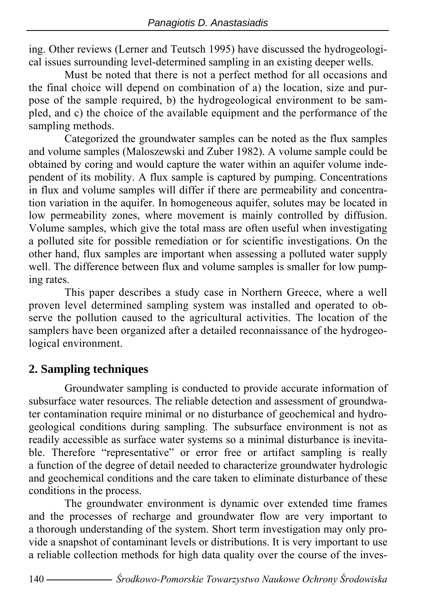ing. Other reviews (Lerner and Teutsch 1995) have discussed the hydrogeological issues surrounding level-determined sampling in an existing deeper wells.

Must be noted that there is not a perfect method for all occasions and the final choice will depend on combination of a) the location, size and purpose of the sample required, b) the hydrogeological environment to be sampled, and c) the choice of the available equipment and the performance of the sampling methods.

Categorized the groundwater samples can be noted as the flux samples and volume samples (Maloszewski and Zuber 1982). A volume sample could be obtained by coring and would capture the water within an aquifer volume independent of its mobility. A flux sample is captured by pumping. Concentrations in flux and volume samples will differ if there are permeability and concentration variation in the aquifer. In homogeneous aquifer, solutes may be located in low permeability zones, where movement is mainly controlled by diffusion. Volume samples, which give the total mass are often useful when investigating a polluted site for possible remediation or for scientific investigations. On the other hand, flux samples are important when assessing a polluted water supply well. The difference between flux and volume samples is smaller for low pumping rates.

This paper describes a study case in Northern Greece, where a well proven level determined sampling system was installed and operated to observe the pollution caused to the agricultural activities. The location of the samplers have been organized after a detailed reconnaissance of the hydrogeological environment.

#### **2. Sampling techniques**

Groundwater sampling is conducted to provide accurate information of subsurface water resources. The reliable detection and assessment of groundwater contamination require minimal or no disturbance of geochemical and hydrogeological conditions during sampling. The subsurface environment is not as readily accessible as surface water systems so a minimal disturbance is inevitable. Therefore "representative" or error free or artifact sampling is really a function of the degree of detail needed to characterize groundwater hydrologic and geochemical conditions and the care taken to eliminate disturbance of these conditions in the process.

The groundwater environment is dynamic over extended time frames and the processes of recharge and groundwater flow are very important to a thorough understanding of the system. Short term investigation may only provide a snapshot of contaminant levels or distributions. It is very important to use a reliable collection methods for high data quality over the course of the inves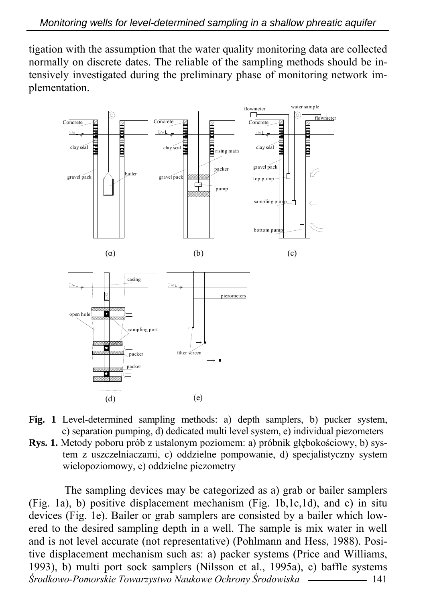tigation with the assumption that the water quality monitoring data are collected normally on discrete dates. The reliable of the sampling methods should be intensively investigated during the preliminary phase of monitoring network implementation.



- **Fig. 1** Level-determined sampling methods: a) depth samplers, b) pucker system, c) separation pumping, d) dedicated multi level system, e) individual piezometers
- **Rys. 1.** Metody poboru prób z ustalonym poziomem: a) próbnik głębokościowy, b) system z uszczelniaczami, c) oddzielne pompowanie, d) specjalistyczny system wielopoziomowy, e) oddzielne piezometry

*Środkowo-Pomorskie Towarzystwo Naukowe Ochrony Środowiska* 141 The sampling devices may be categorized as a) grab or bailer samplers (Fig. 1a), b) positive displacement mechanism (Fig. 1b,1c,1d), and c) in situ devices (Fig. 1e). Bailer or grab samplers are consisted by a bailer which lowered to the desired sampling depth in a well. The sample is mix water in well and is not level accurate (not representative) (Pohlmann and Hess, 1988). Positive displacement mechanism such as: a) packer systems (Price and Williams, 1993), b) multi port sock samplers (Nilsson et al., 1995a), c) baffle systems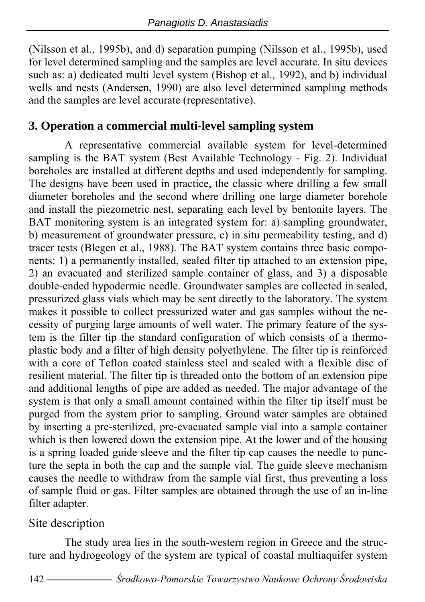(Nilsson et al., 1995b), and d) separation pumping (Nilsson et al., 1995b), used for level determined sampling and the samples are level accurate. In situ devices such as: a) dedicated multi level system (Bishop et al., 1992), and b) individual wells and nests (Andersen, 1990) are also level determined sampling methods and the samples are level accurate (representative).

## **3. Operation a commercial multi-level sampling system**

A representative commercial available system for level-determined sampling is the BAT system (Best Available Technology - Fig. 2). Individual boreholes are installed at different depths and used independently for sampling. The designs have been used in practice, the classic where drilling a few small diameter boreholes and the second where drilling one large diameter borehole and install the piezometric nest, separating each level by bentonite layers. The BAT monitoring system is an integrated system for: a) sampling groundwater, b) measurement of groundwater pressure, c) in situ permeability testing, and d) tracer tests (Blegen et al., 1988). The BAT system contains three basic components: 1) a permanently installed, sealed filter tip attached to an extension pipe, 2) an evacuated and sterilized sample container of glass, and 3) a disposable double-ended hypodermic needle. Groundwater samples are collected in sealed, pressurized glass vials which may be sent directly to the laboratory. The system makes it possible to collect pressurized water and gas samples without the necessity of purging large amounts of well water. The primary feature of the system is the filter tip the standard configuration of which consists of a thermoplastic body and a filter of high density polyethylene. The filter tip is reinforced with a core of Teflon coated stainless steel and sealed with a flexible disc of resilient material. The filter tip is threaded onto the bottom of an extension pipe and additional lengths of pipe are added as needed. The major advantage of the system is that only a small amount contained within the filter tip itself must be purged from the system prior to sampling. Ground water samples are obtained by inserting a pre-sterilized, pre-evacuated sample vial into a sample container which is then lowered down the extension pipe. At the lower and of the housing is a spring loaded guide sleeve and the filter tip cap causes the needle to puncture the septa in both the cap and the sample vial. The guide sleeve mechanism causes the needle to withdraw from the sample vial first, thus preventing a loss of sample fluid or gas. Filter samples are obtained through the use of an in-line filter adapter.

#### Site description

The study area lies in the south-western region in Greece and the structure and hydrogeology of the system are typical of coastal multiaquifer system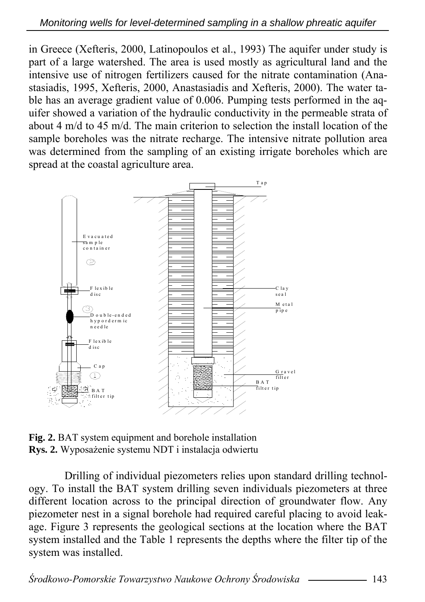in Greece (Xefteris, 2000, Latinopoulos et al., 1993) The aquifer under study is part of a large watershed. The area is used mostly as agricultural land and the intensive use of nitrogen fertilizers caused for the nitrate contamination (Anastasiadis, 1995, Xefteris, 2000, Anastasiadis and Xefteris, 2000). The water table has an average gradient value of 0.006. Pumping tests performed in the aquifer showed a variation of the hydraulic conductivity in the permeable strata of about 4 m/d to 45 m/d. The main criterion to selection the install location of the sample boreholes was the nitrate recharge. The intensive nitrate pollution area was determined from the sampling of an existing irrigate boreholes which are spread at the coastal agriculture area.



**Fig. 2.** BAT system equipment and borehole installation **Rys. 2.** Wyposażenie systemu NDT i instalacja odwiertu

Drilling of individual piezometers relies upon standard drilling technology. To install the BAT system drilling seven individuals piezometers at three different location across to the principal direction of groundwater flow. Any piezometer nest in a signal borehole had required careful placing to avoid leakage. Figure 3 represents the geological sections at the location where the BAT system installed and the Table 1 represents the depths where the filter tip of the system was installed.

*Środkowo-Pomorskie Towarzystwo Naukowe Ochrony Środowiska* 143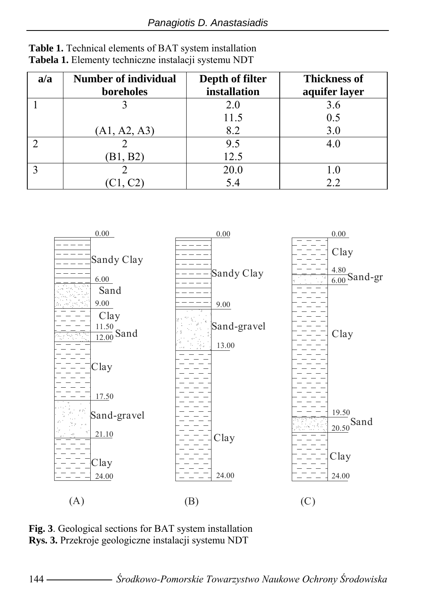| a/a | <b>Number of individual</b><br>boreholes | Depth of filter<br>installation | <b>Thickness of</b><br>aquifer layer |
|-----|------------------------------------------|---------------------------------|--------------------------------------|
|     |                                          | 2.0                             | 3.6                                  |
|     |                                          | 11.5                            | 0.5                                  |
|     | (A1, A2, A3)                             | 8.2                             | 3.0                                  |
|     |                                          | 9.5                             | 4.0                                  |
|     | (B1, B2)                                 | 12.5                            |                                      |
|     |                                          | 20.0                            | 1.0                                  |
|     |                                          | 5.4                             | 2.2                                  |





**Fig. 3**. Geological sections for BAT system installation **Rys. 3.** Przekroje geologiczne instalacji systemu NDT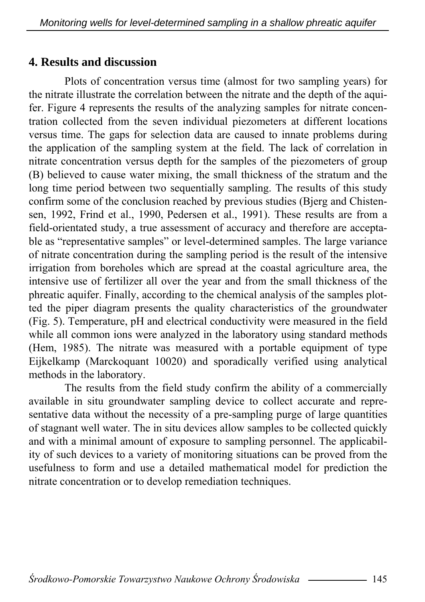#### **4. Results and discussion**

Plots of concentration versus time (almost for two sampling years) for the nitrate illustrate the correlation between the nitrate and the depth of the aquifer. Figure 4 represents the results of the analyzing samples for nitrate concentration collected from the seven individual piezometers at different locations versus time. The gaps for selection data are caused to innate problems during the application of the sampling system at the field. The lack of correlation in nitrate concentration versus depth for the samples of the piezometers of group (B) believed to cause water mixing, the small thickness of the stratum and the long time period between two sequentially sampling. The results of this study confirm some of the conclusion reached by previous studies (Bjerg and Chistensen, 1992, Frind et al., 1990, Pedersen et al., 1991). These results are from a field-orientated study, a true assessment of accuracy and therefore are acceptable as "representative samples" or level-determined samples. The large variance of nitrate concentration during the sampling period is the result of the intensive irrigation from boreholes which are spread at the coastal agriculture area, the intensive use of fertilizer all over the year and from the small thickness of the phreatic aquifer. Finally, according to the chemical analysis of the samples plotted the piper diagram presents the quality characteristics of the groundwater (Fig. 5). Temperature, pH and electrical conductivity were measured in the field while all common ions were analyzed in the laboratory using standard methods (Hem, 1985). The nitrate was measured with a portable equipment of type Eijkelkamp (Marckoquant 10020) and sporadically verified using analytical methods in the laboratory.

The results from the field study confirm the ability of a commercially available in situ groundwater sampling device to collect accurate and representative data without the necessity of a pre-sampling purge of large quantities of stagnant well water. The in situ devices allow samples to be collected quickly and with a minimal amount of exposure to sampling personnel. The applicability of such devices to a variety of monitoring situations can be proved from the usefulness to form and use a detailed mathematical model for prediction the nitrate concentration or to develop remediation techniques.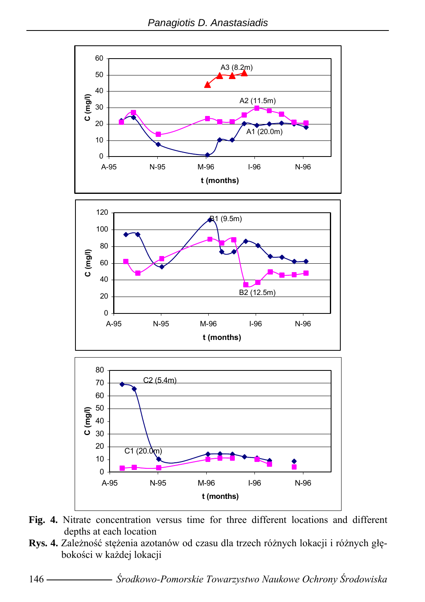

- **Fig. 4.** Nitrate concentration versus time for three different locations and different depths at each location
- **Rys. 4.** Zależność stężenia azotanów od czasu dla trzech różnych lokacji i różnych głębokości w każdej lokacji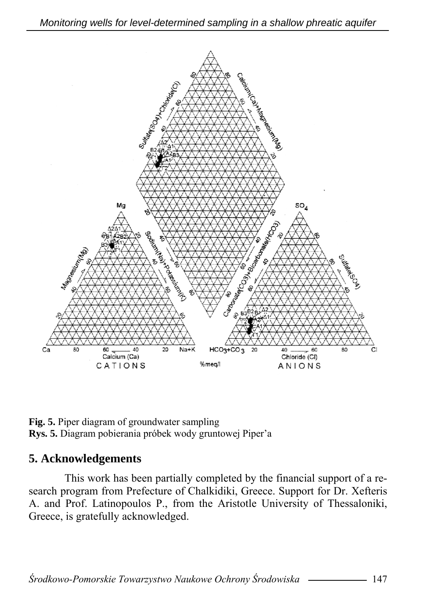

**Fig. 5.** Piper diagram of groundwater sampling **Rys. 5.** Diagram pobierania próbek wody gruntowej Piper'a

#### **5. Acknowledgements**

This work has been partially completed by the financial support of a research program from Prefecture of Chalkidiki, Greece. Support for Dr. Xefteris A. and Prof. Latinopoulos P., from the Aristotle University of Thessaloniki, Greece, is gratefully acknowledged.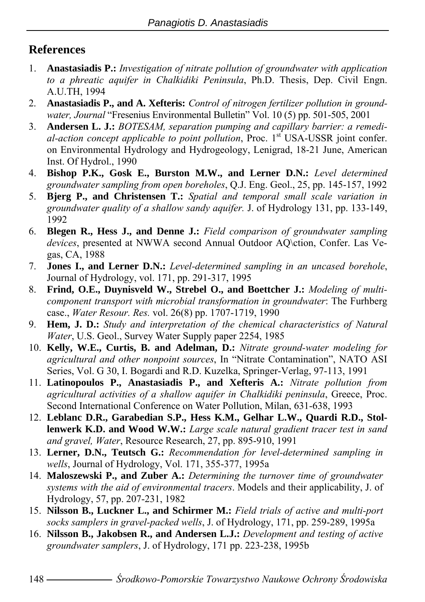# **References**

- 1. **Anastasiadis P.:** *Investigation of nitrate pollution of groundwater with application to a phreatic aquifer in Chalkidiki Peninsula*, Ph.D. Thesis, Dep. Civil Engn. A.U.TH, 1994
- 2. **Anastasiadis P., and A. Xefteris:** *Control of nitrogen fertilizer pollution in groundwater, Journal* "Fresenius Environmental Bulletin" Vol. 10 (5) pp. 501-505, 2001
- 3. **Andersen L. J.:** *BOTESAM, separation pumping and capillary barrier: a remedi*al-action concept applicable to point pollution. Proc. 1<sup>st</sup> USA-USSR joint confer. on Environmental Hydrology and Hydrogeology, Lenigrad, 18-21 June, American Inst. Of Hydrol., 1990
- 4. **Bishop P.K., Gosk E., Burston M.W., and Lerner D.N.:** *Level determined groundwater sampling from open boreholes*, Q.J. Eng. Geol., 25, pp. 145-157, 1992
- 5. **Bjerg P., and Christensen T.:** *Spatial and temporal small scale variation in groundwater quality of a shallow sandy aquifer.* J. of Hydrology 131, pp. 133-149, 1992
- 6. **Blegen R., Hess J., and Denne J.:** *Field comparison of groundwater sampling devices*, presented at NWWA second Annual Outdoor AQ\ction, Confer. Las Vegas, CA, 1988
- 7. **Jones I., and Lerner D.N.:** *Level-determined sampling in an uncased borehole*, Journal of Hydrology, vol. 171, pp. 291-317, 1995
- 8. **Frind, O.E., Duynisveld W., Strebel O., and Boettcher J.:** *Modeling of multicomponent transport with microbial transformation in groundwater*: The Furhberg case., *Water Resour. Res.* vol. 26(8) pp. 1707-1719, 1990
- 9. **Hem, J. D.:** *Study and interpretation of the chemical characteristics of Natural Water*, U.S. Geol., Survey Water Supply paper 2254, 1985
- 10. **Kelly, W.E., Curtis, B. and Adelman, D.:** *Nitrate ground-water modeling for agricultural and other nonpoint sources*, In "Nitrate Contamination", NATO ASI Series, Vol. G 30, I. Bogardi and R.D. Kuzelka, Springer-Verlag, 97-113, 1991
- 11. **Latinopoulos P., Anastasiadis P., and Xefteris A.:** *Nitrate pollution from agricultural activities of a shallow aquifer in Chalkidiki peninsula*, Greece, Proc. Second International Conference on Water Pollution, Milan, 631-638, 1993
- 12. **Leblanc D.R., Garabedian S.P., Hess K.M., Gelhar L.W., Quardi R.D., Stollenwerk K.D. and Wood W.W.:** *Large scale natural gradient tracer test in sand and gravel, Water*, Resource Research, 27, pp. 895-910, 1991
- 13. **Lerner, D.N., Teutsch G.:** *Recommendation for level-determined sampling in wells*, Journal of Hydrology, Vol. 171, 355-377, 1995a
- 14. **Maloszewski P., and Zuber A.:** *Determining the turnover time of groundwater systems with the aid of environmental tracers*. Models and their applicability, J. of Hydrology, 57, pp. 207-231, 1982
- 15. **Nilsson B., Luckner L., and Schirmer M.:** *Field trials of active and multi-port socks samplers in gravel-packed wells*, J. of Hydrology, 171, pp. 259-289, 1995a
- 16. **Nilsson B., Jakobsen R., and Andersen L.J.:** *Development and testing of active groundwater samplers*, J. of Hydrology, 171 pp. 223-238, 1995b